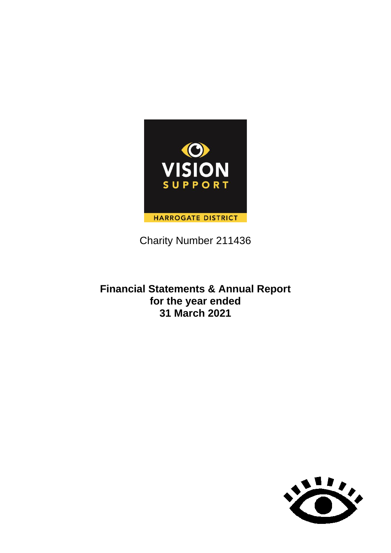

Charity Number 211436

## **Financial Statements & Annual Report for the year ended 31 March 2021**

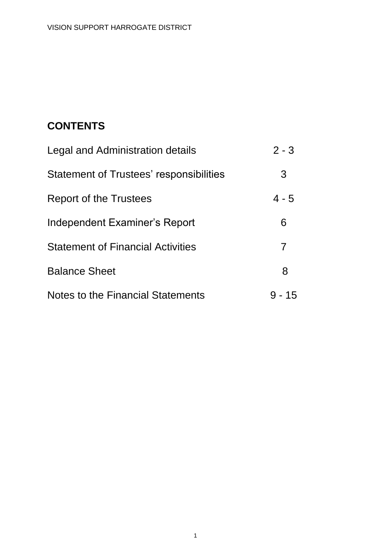# **CONTENTS**

| Legal and Administration details         | $2 - 3$ |
|------------------------------------------|---------|
| Statement of Trustees' responsibilities  | 3       |
| Report of the Trustees                   | $4 - 5$ |
| Independent Examiner's Report            | 6       |
| <b>Statement of Financial Activities</b> | 7       |
| <b>Balance Sheet</b>                     | 8       |
| Notes to the Financial Statements        | 9 - 15  |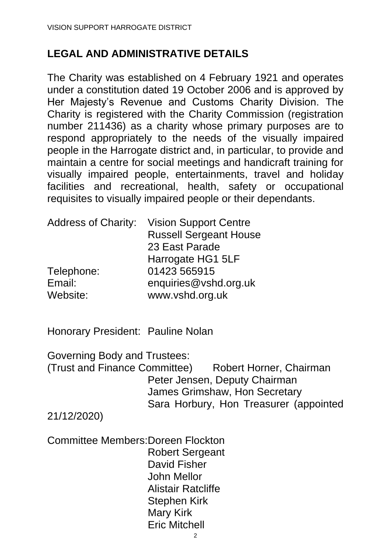# **LEGAL AND ADMINISTRATIVE DETAILS**

The Charity was established on 4 February 1921 and operates under a constitution dated 19 October 2006 and is approved by Her Majesty's Revenue and Customs Charity Division. The Charity is registered with the Charity Commission (registration number 211436) as a charity whose primary purposes are to respond appropriately to the needs of the visually impaired people in the Harrogate district and, in particular, to provide and maintain a centre for social meetings and handicraft training for visually impaired people, entertainments, travel and holiday facilities and recreational, health, safety or occupational requisites to visually impaired people or their dependants.

| <b>Vision Support Centre</b>  |
|-------------------------------|
| <b>Russell Sergeant House</b> |
| 23 East Parade                |
| Harrogate HG1 5LF             |
| 01423 565915                  |
| enquiries@vshd.org.uk         |
| www.vshd.org.uk               |
|                               |

Honorary President: Pauline Nolan

Governing Body and Trustees:

(Trust and Finance Committee) Robert Horner, Chairman Peter Jensen, Deputy Chairman James Grimshaw, Hon Secretary Sara Horbury, Hon Treasurer (appointed

21/12/2020)

Committee Members:Doreen Flockton Robert Sergeant David Fisher John Mellor Alistair Ratcliffe Stephen Kirk Mary Kirk Eric Mitchell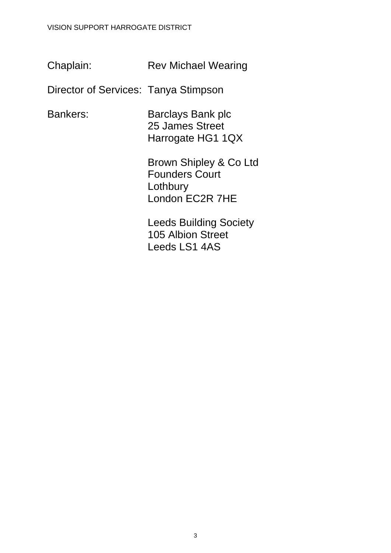#### VISION SUPPORT HARROGATE DISTRICT

Chaplain: Rev Michael Wearing

Director of Services: Tanya Stimpson

Bankers: Barclays Bank plc 25 James Street Harrogate HG1 1QX

> Brown Shipley & Co Ltd Founders Court **Lothbury** London EC2R 7HE

Leeds Building Society 105 Albion Street Leeds LS1 4AS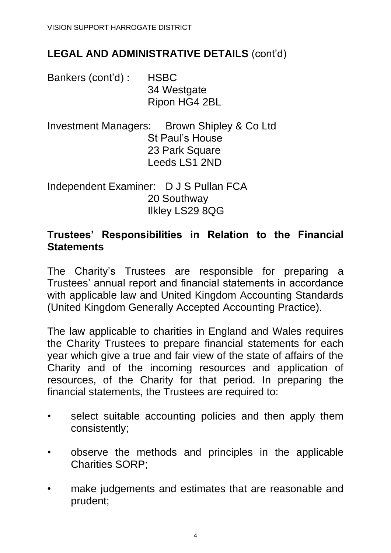# **LEGAL AND ADMINISTRATIVE DETAILS** (cont'd)

Bankers (cont'd) : HSBC 34 Westgate Ripon HG4 2BL

Investment Managers: Brown Shipley & Co Ltd St Paul's House 23 Park Square Leeds LS1 2ND

Independent Examiner: D J S Pullan FCA 20 Southway Ilkley LS29 8QG

### **Trustees' Responsibilities in Relation to the Financial Statements**

The Charity's Trustees are responsible for preparing a Trustees' annual report and financial statements in accordance with applicable law and United Kingdom Accounting Standards (United Kingdom Generally Accepted Accounting Practice).

The law applicable to charities in England and Wales requires the Charity Trustees to prepare financial statements for each year which give a true and fair view of the state of affairs of the Charity and of the incoming resources and application of resources, of the Charity for that period. In preparing the financial statements, the Trustees are required to:

- select suitable accounting policies and then apply them consistently;
- observe the methods and principles in the applicable Charities SORP;
- make judgements and estimates that are reasonable and prudent;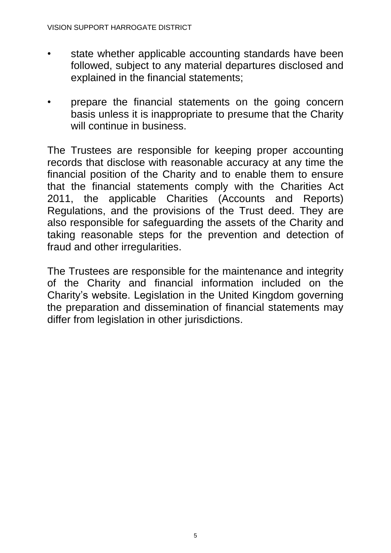- state whether applicable accounting standards have been followed, subject to any material departures disclosed and explained in the financial statements;
- prepare the financial statements on the going concern basis unless it is inappropriate to presume that the Charity will continue in business.

The Trustees are responsible for keeping proper accounting records that disclose with reasonable accuracy at any time the financial position of the Charity and to enable them to ensure that the financial statements comply with the Charities Act 2011, the applicable Charities (Accounts and Reports) Regulations, and the provisions of the Trust deed. They are also responsible for safeguarding the assets of the Charity and taking reasonable steps for the prevention and detection of fraud and other irregularities.

The Trustees are responsible for the maintenance and integrity of the Charity and financial information included on the Charity's website. Legislation in the United Kingdom governing the preparation and dissemination of financial statements may differ from legislation in other jurisdictions.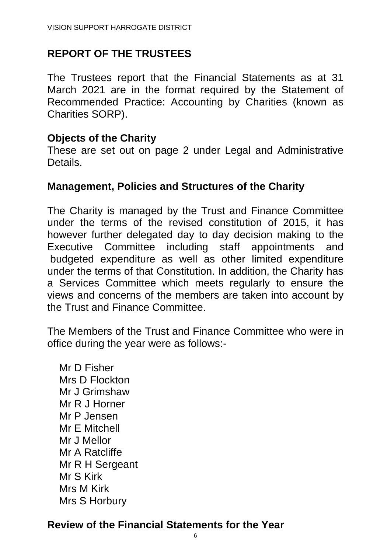# **REPORT OF THE TRUSTEES**

The Trustees report that the Financial Statements as at 31 March 2021 are in the format required by the Statement of Recommended Practice: Accounting by Charities (known as Charities SORP).

#### **Objects of the Charity**

These are set out on page 2 under Legal and Administrative Details.

### **Management, Policies and Structures of the Charity**

The Charity is managed by the Trust and Finance Committee under the terms of the revised constitution of 2015, it has however further delegated day to day decision making to the Executive Committee including staff appointments and budgeted expenditure as well as other limited expenditure under the terms of that Constitution. In addition, the Charity has a Services Committee which meets regularly to ensure the views and concerns of the members are taken into account by the Trust and Finance Committee.

The Members of the Trust and Finance Committee who were in office during the year were as follows:-

Mr D Fisher Mrs D Flockton Mr J Grimshaw Mr R J Horner Mr P Jensen Mr E Mitchell Mr J Mellor Mr A Ratcliffe Mr R H Sergeant Mr S Kirk Mrs M Kirk Mrs S Horbury

## **Review of the Financial Statements for the Year**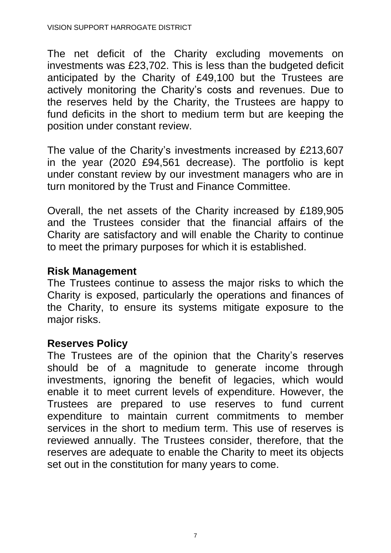The net deficit of the Charity excluding movements on investments was £23,702. This is less than the budgeted deficit anticipated by the Charity of £49,100 but the Trustees are actively monitoring the Charity's costs and revenues. Due to the reserves held by the Charity, the Trustees are happy to fund deficits in the short to medium term but are keeping the position under constant review.

The value of the Charity's investments increased by £213,607 in the year (2020 £94,561 decrease). The portfolio is kept under constant review by our investment managers who are in turn monitored by the Trust and Finance Committee.

Overall, the net assets of the Charity increased by £189,905 and the Trustees consider that the financial affairs of the Charity are satisfactory and will enable the Charity to continue to meet the primary purposes for which it is established.

#### **Risk Management**

The Trustees continue to assess the major risks to which the Charity is exposed, particularly the operations and finances of the Charity, to ensure its systems mitigate exposure to the major risks.

#### **Reserves Policy**

The Trustees are of the opinion that the Charity's reserves should be of a magnitude to generate income through investments, ignoring the benefit of legacies, which would enable it to meet current levels of expenditure. However, the Trustees are prepared to use reserves to fund current expenditure to maintain current commitments to member services in the short to medium term. This use of reserves is reviewed annually. The Trustees consider, therefore, that the reserves are adequate to enable the Charity to meet its objects set out in the constitution for many years to come.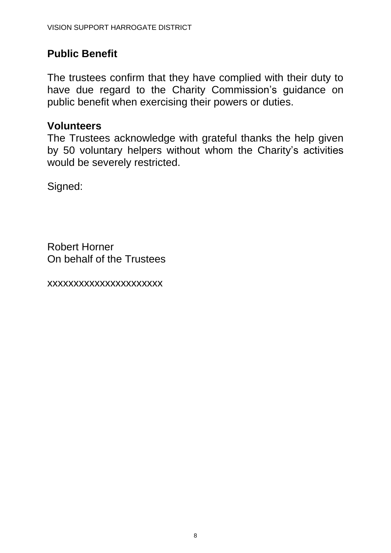# **Public Benefit**

The trustees confirm that they have complied with their duty to have due regard to the Charity Commission's guidance on public benefit when exercising their powers or duties.

## **Volunteers**

The Trustees acknowledge with grateful thanks the help given by 50 voluntary helpers without whom the Charity's activities would be severely restricted.

Signed:

Robert Horner On behalf of the Trustees

xxxxxxxxxxxxxxxxxxxxxx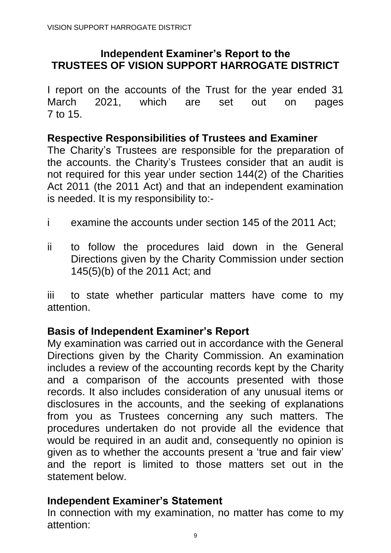## **Independent Examiner's Report to the TRUSTEES OF VISION SUPPORT HARROGATE DISTRICT**

I report on the accounts of the Trust for the year ended 31 March 2021, which are set out on pages 7 to 15.

### **Respective Responsibilities of Trustees and Examiner**

The Charity's Trustees are responsible for the preparation of the accounts. the Charity's Trustees consider that an audit is not required for this year under section 144(2) of the Charities Act 2011 (the 2011 Act) and that an independent examination is needed. It is my responsibility to:-

- i examine the accounts under section 145 of the 2011 Act;
- ii to follow the procedures laid down in the General Directions given by the Charity Commission under section 145(5)(b) of the 2011 Act; and

iii to state whether particular matters have come to my attention.

## **Basis of Independent Examiner's Report**

My examination was carried out in accordance with the General Directions given by the Charity Commission. An examination includes a review of the accounting records kept by the Charity and a comparison of the accounts presented with those records. It also includes consideration of any unusual items or disclosures in the accounts, and the seeking of explanations from you as Trustees concerning any such matters. The procedures undertaken do not provide all the evidence that would be required in an audit and, consequently no opinion is given as to whether the accounts present a 'true and fair view' and the report is limited to those matters set out in the statement below.

## **Independent Examiner's Statement**

In connection with my examination, no matter has come to my attention: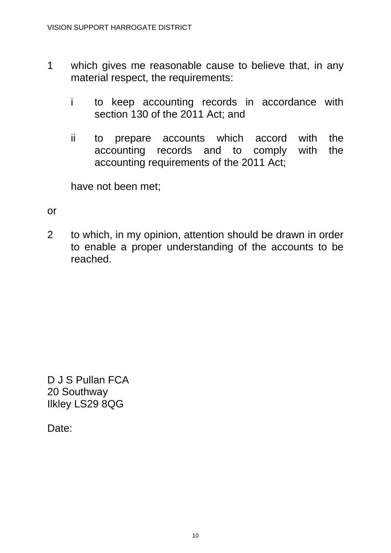- 1 which gives me reasonable cause to believe that, in any material respect, the requirements:
	- i to keep accounting records in accordance with section 130 of the 2011 Act; and
	- ii to prepare accounts which accord with the accounting records and to comply with the accounting requirements of the 2011 Act;

have not been met;

#### or

2 to which, in my opinion, attention should be drawn in order to enable a proper understanding of the accounts to be reached.

D J S Pullan FCA 20 Southway Ilkley LS29 8QG

Date: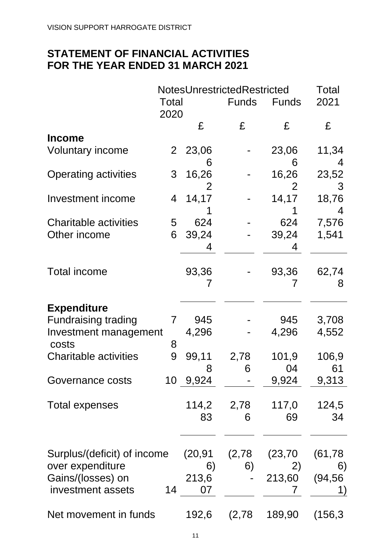# **STATEMENT OF FINANCIAL ACTIVITIES FOR THE YEAR ENDED 31 MARCH 2021**

|                                                              |               |                   | NotesUnrestrictedRestricted |                   | <b>Total</b>         |
|--------------------------------------------------------------|---------------|-------------------|-----------------------------|-------------------|----------------------|
|                                                              | Total<br>2020 |                   | <b>Funds</b>                | <b>Funds</b>      | 2021                 |
|                                                              |               | £                 | £                           | £                 | £                    |
| <b>Income</b>                                                |               |                   |                             |                   |                      |
| <b>Voluntary income</b>                                      | $2^{-}$       | 23,06             |                             | 23,06             | 11,34                |
| <b>Operating activities</b>                                  | 3             | 6<br>16,26<br>2   |                             | 6<br>16,26<br>2   | 4<br>23,52<br>3      |
| Investment income                                            | 4             | 14,17             |                             | 14,17             | 18,76<br>4           |
| <b>Charitable activities</b>                                 | 5             | 624               |                             | 624               | 7,576                |
| Other income                                                 | 6             | 39,24<br>4        |                             | 39,24<br>4        | 1,541                |
| <b>Total income</b>                                          |               | 93,36<br>7        |                             | 93,36             | 62,74<br>8           |
| <b>Expenditure</b>                                           |               |                   |                             |                   |                      |
| <b>Fundraising trading</b><br>Investment management<br>costs | 7<br>8        | 945<br>4,296      |                             | 945<br>4,296      | 3,708<br>4,552       |
| <b>Charitable activities</b>                                 | 9             | 99,11<br>8        | 2,78<br>6                   | 101,9<br>04       | 106,9<br>61          |
| Governance costs                                             |               | 10 9,924          |                             | 9,924             | 9,313                |
| <b>Total expenses</b>                                        |               | 114,2<br>83       | 2,78<br>6                   | 117,0<br>69       | 124,5<br>34          |
| Surplus/(deficit) of income                                  |               | (20,91            | (2,78)                      | (23, 70)          | (61, 78)             |
| over expenditure<br>Gains/(losses) on<br>investment assets   | 14            | 6)<br>213,6<br>07 | 6)                          | 2)<br>213,60<br>7 | 6)<br>(94, 56)<br>1) |
| Net movement in funds                                        |               | 192,6             | (2,78)                      | 189,90            | (156, 3)             |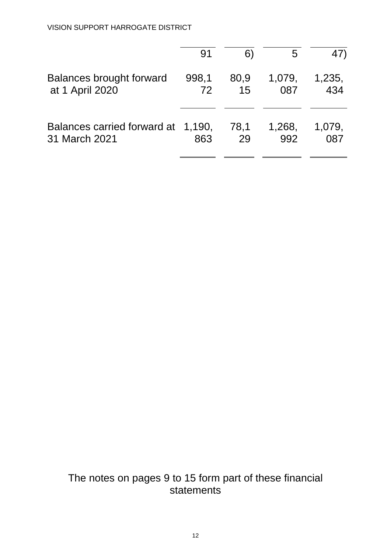|                                    | 91    | 6)   | 5      | 47)    |
|------------------------------------|-------|------|--------|--------|
| <b>Balances brought forward</b>    | 998,1 | 80,9 | 1,079, | 1,235, |
| at 1 April 2020                    | 72    | 15   | 087    | 434    |
| Balances carried forward at 1,190, | 863   | 78.1 | 1,268, | 1,079, |
| 31 March 2021                      |       | 29   | 992    | 087    |

# The notes on pages 9 to 15 form part of these financial statements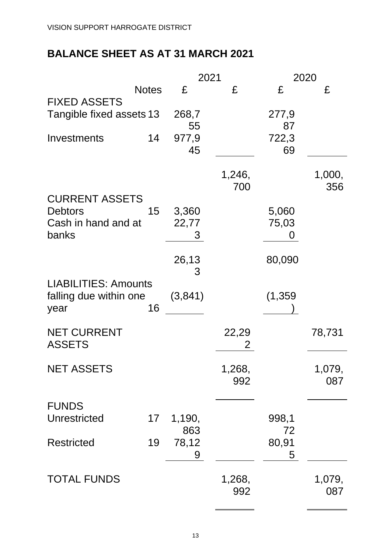# **BALANCE SHEET AS AT 31 MARCH 2021**

|                                                               |              |               | 2021          |                            | 2020          |
|---------------------------------------------------------------|--------------|---------------|---------------|----------------------------|---------------|
|                                                               | <b>Notes</b> | £             | £             | £                          | £             |
| <b>FIXED ASSETS</b><br>Tangible fixed assets 13               |              | 268,7<br>55   |               | 277,9<br>87                |               |
| Investments                                                   | 14           | 977,9<br>45   |               | 722,3<br>69                |               |
|                                                               |              |               | 1,246,<br>700 |                            | 1,000,<br>356 |
| <b>CURRENT ASSETS</b>                                         |              |               |               |                            |               |
| <b>Debtors</b>                                                | 15           | 3,360         |               | 5,060                      |               |
| Cash in hand and at<br>banks                                  |              | 22,77<br>3    |               | 75,03<br>$\mathbf{\Omega}$ |               |
|                                                               |              | 26,13<br>3    |               | 80,090                     |               |
| <b>LIABILITIES: Amounts</b><br>falling due within one<br>year | 16           | (3,841)       |               | (1, 359)                   |               |
| <b>NET CURRENT</b><br><b>ASSETS</b>                           |              |               | 22,29<br>2    |                            | 78,731        |
| <b>NET ASSETS</b>                                             |              |               | 1,268,<br>992 |                            | 1,079,<br>087 |
| <b>FUNDS</b>                                                  |              |               |               |                            |               |
| Unrestricted                                                  | 17           | 1,190,<br>863 |               | 998,1<br>72                |               |
| <b>Restricted</b>                                             | 19           | 78,12<br>9    |               | 80,91<br>5                 |               |
| <b>TOTAL FUNDS</b>                                            |              |               | 1,268,<br>992 |                            | 1,079,<br>087 |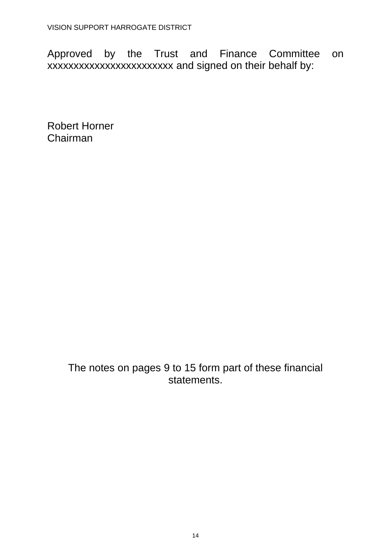Approved by the Trust and Finance Committee on xxxxxxxxxxxxxxxxxxxxxxxx and signed on their behalf by:

Robert Horner Chairman

> The notes on pages 9 to 15 form part of these financial statements.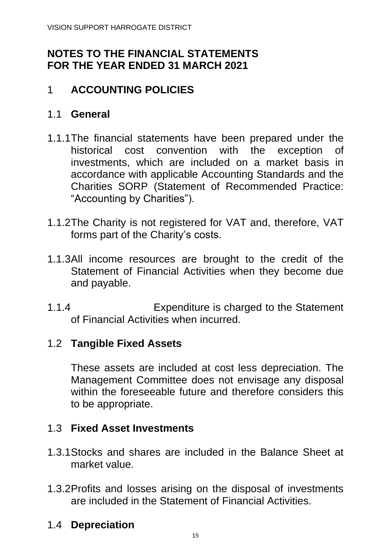# **NOTES TO THE FINANCIAL STATEMENTS FOR THE YEAR ENDED 31 MARCH 2021**

# 1 **ACCOUNTING POLICIES**

# 1.1 **General**

- 1.1.1The financial statements have been prepared under the historical cost convention with the exception of investments, which are included on a market basis in accordance with applicable Accounting Standards and the Charities SORP (Statement of Recommended Practice: "Accounting by Charities").
- 1.1.2The Charity is not registered for VAT and, therefore, VAT forms part of the Charity's costs.
- 1.1.3All income resources are brought to the credit of the Statement of Financial Activities when they become due and payable.
- 1.1.4 Expenditure is charged to the Statement of Financial Activities when incurred.

## 1.2 **Tangible Fixed Assets**

These assets are included at cost less depreciation. The Management Committee does not envisage any disposal within the foreseeable future and therefore considers this to be appropriate.

## 1.3 **Fixed Asset Investments**

- 1.3.1Stocks and shares are included in the Balance Sheet at market value.
- 1.3.2Profits and losses arising on the disposal of investments are included in the Statement of Financial Activities.

## 1.4 **Depreciation**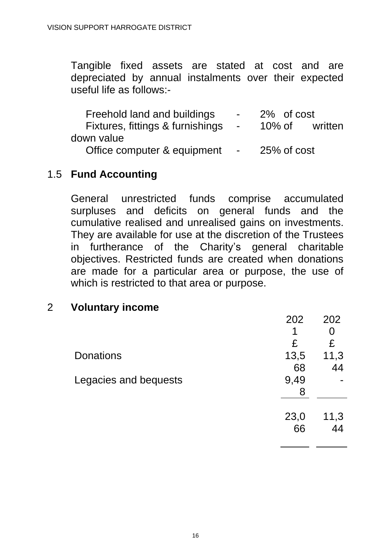Tangible fixed assets are stated at cost and are depreciated by annual instalments over their expected useful life as follows:-

| Freehold land and buildings      | $\sim$ 10 $\pm$                                                                                                                                                                                                                                                                                                                                                                                                                                           | 2% of cost  |         |
|----------------------------------|-----------------------------------------------------------------------------------------------------------------------------------------------------------------------------------------------------------------------------------------------------------------------------------------------------------------------------------------------------------------------------------------------------------------------------------------------------------|-------------|---------|
| Fixtures, fittings & furnishings | ال المساحة المركز المركز المركز المركز المركز المركز المركز المركز المركز المركز المركز المركز المركز المركز ال<br>المركز المركز المركز المركز المركز المركز المركز المركز المركز المركز المركز المركز المركز المركز المركز الم                                                                                                                                                                                                                           | 10% of      | written |
| down value                       |                                                                                                                                                                                                                                                                                                                                                                                                                                                           |             |         |
| Office computer & equipment      | $\mathcal{L}^{\mathcal{L}}(\mathcal{L}^{\mathcal{L}}(\mathcal{L}^{\mathcal{L}}(\mathcal{L}^{\mathcal{L}}(\mathcal{L}^{\mathcal{L}}(\mathcal{L}^{\mathcal{L}}(\mathcal{L}^{\mathcal{L}}(\mathcal{L}^{\mathcal{L}}(\mathcal{L}^{\mathcal{L}}(\mathcal{L}^{\mathcal{L}}(\mathcal{L}^{\mathcal{L}}(\mathcal{L}^{\mathcal{L}}(\mathcal{L}^{\mathcal{L}}(\mathcal{L}^{\mathcal{L}}(\mathcal{L}^{\mathcal{L}}(\mathcal{L}^{\mathcal{L}}(\mathcal{L}^{\mathcal{L$ | 25% of cost |         |

### 1.5 **Fund Accounting**

General unrestricted funds comprise accumulated surpluses and deficits on general funds and the cumulative realised and unrealised gains on investments. They are available for use at the discretion of the Trustees in furtherance of the Charity's general charitable objectives. Restricted funds are created when donations are made for a particular area or purpose, the use of which is restricted to that area or purpose.

#### 2 **Voluntary income**

|                       | 202  | 202  |
|-----------------------|------|------|
|                       | 1    |      |
|                       | £    | £    |
| <b>Donations</b>      | 13,5 | 11,3 |
|                       | 68   | 44   |
| Legacies and bequests | 9,49 |      |
|                       | 8    |      |
|                       |      |      |
|                       | 23,0 | 11,3 |
|                       | 66   | 44   |
|                       |      |      |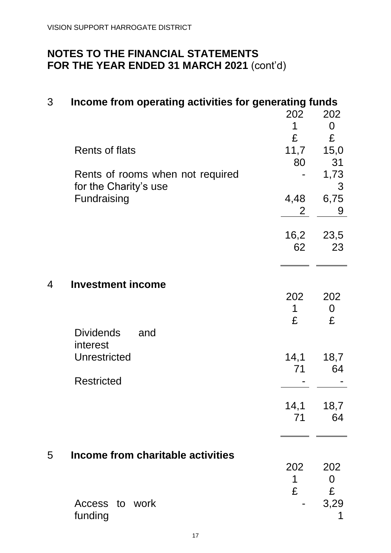| 3 | Income from operating activities for generating funds     |              |            |
|---|-----------------------------------------------------------|--------------|------------|
|   |                                                           | 202          | 202        |
|   |                                                           | 1            | $\Omega$   |
|   |                                                           | £            | £          |
|   | Rents of flats                                            | 11,7         | 15,0       |
|   |                                                           | 80           | 31         |
|   | Rents of rooms when not required<br>for the Charity's use |              | 1,73<br>3  |
|   | Fundraising                                               | 4,48         | 6,75       |
|   |                                                           | $\mathbf{2}$ | 9          |
|   |                                                           |              |            |
|   |                                                           | 16,2         | 23,5       |
|   |                                                           | 62           | 23         |
|   |                                                           |              |            |
|   |                                                           |              |            |
| 4 | <b>Investment income</b>                                  |              |            |
|   |                                                           | 202          | 202        |
|   |                                                           | 1            | 0          |
|   |                                                           | £            | £          |
|   | <b>Dividends</b><br>and                                   |              |            |
|   | interest<br>Unrestricted                                  |              |            |
|   |                                                           | 14,1<br>71   | 18,7<br>64 |
|   | <b>Restricted</b>                                         |              |            |
|   |                                                           |              |            |
|   |                                                           |              | 14,1 18,7  |
|   |                                                           | 71           | 64         |
|   |                                                           |              |            |
|   |                                                           |              |            |
| 5 | Income from charitable activities                         |              |            |
|   |                                                           | 202          | 202        |
|   |                                                           | 1            | 0          |
|   |                                                           | £            | £          |
|   | Access to work                                            |              | 3,29       |
|   | funding                                                   |              |            |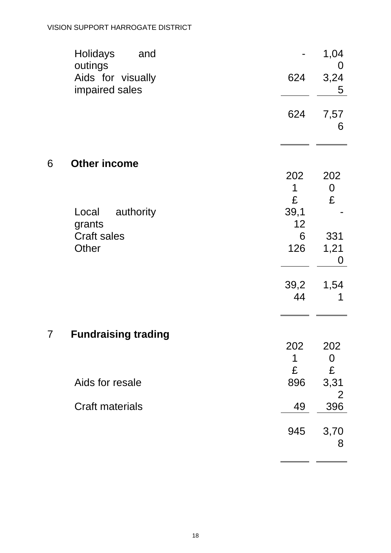#### VISION SUPPORT HARROGATE DISTRICT

|   | <b>Holidays</b><br>and<br>outings   |          | 1,04<br>O              |
|---|-------------------------------------|----------|------------------------|
|   | Aids for visually<br>impaired sales | 624      | 3,24<br>5              |
|   |                                     | 624      | 7,57<br>6              |
| 6 | <b>Other income</b>                 |          |                        |
|   |                                     | 202<br>1 | 202<br>$\mathbf 0$     |
|   |                                     | £        | £                      |
|   | authority<br>Local                  | 39,1     |                        |
|   | grants                              | 12       |                        |
|   | <b>Craft sales</b><br>Other         | 6<br>126 | 331<br>1,21            |
|   |                                     |          | 0                      |
|   |                                     | 39,2     | 1,54                   |
|   |                                     | 44       | 1                      |
| 7 | <b>Fundraising trading</b>          |          |                        |
|   |                                     | 202      | 202                    |
|   |                                     | 1        | 0                      |
|   |                                     | £        | £                      |
|   | Aids for resale                     | 896      | 3,31<br>$\overline{2}$ |
|   | <b>Craft materials</b>              | 49       | 396                    |
|   |                                     | 945      | 3,70<br>8              |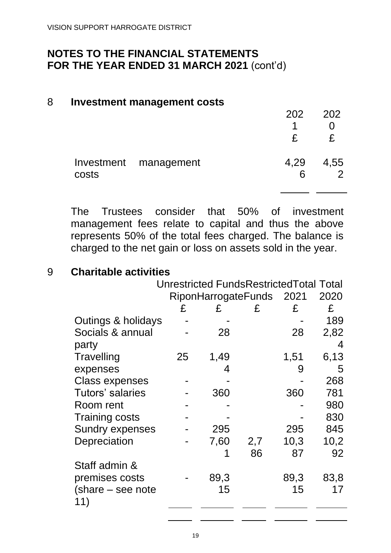#### 8 **Investment management costs**

|       |                       | 202  | 202       |
|-------|-----------------------|------|-----------|
|       |                       | 1    |           |
|       |                       | £    | £.        |
| costs | Investment management | 4,29 | 4,55<br>6 |
|       |                       |      |           |

The Trustees consider that 50% of investment management fees relate to capital and thus the above represents 50% of the total fees charged. The balance is charged to the net gain or loss on assets sold in the year.

### 9 **Charitable activities**

|                        | Unrestricted FundsRestrictedTotal Total |      |                          |      |      |
|------------------------|-----------------------------------------|------|--------------------------|------|------|
|                        |                                         |      | RiponHarrogateFunds 2021 |      | 2020 |
|                        | £                                       | £    | £                        | £    | £    |
| Outings & holidays     |                                         |      |                          |      | 189  |
| Socials & annual       |                                         | 28   |                          | 28   | 2,82 |
| party                  |                                         |      |                          |      | 4    |
| Travelling             | 25                                      | 1,49 |                          | 1,51 | 6,13 |
| expenses               |                                         | 4    |                          | 9    | 5    |
| <b>Class expenses</b>  |                                         |      |                          |      | 268  |
| Tutors' salaries       |                                         | 360  |                          | 360  | 781  |
| Room rent              |                                         |      |                          |      | 980  |
| <b>Training costs</b>  |                                         |      |                          |      | 830  |
| <b>Sundry expenses</b> |                                         | 295  |                          | 295  | 845  |
| Depreciation           |                                         | 7,60 | 2,7                      | 10,3 | 10,2 |
|                        |                                         |      | 86                       | 87   | 92   |
| Staff admin &          |                                         |      |                          |      |      |
| premises costs         |                                         | 89,3 |                          | 89,3 | 83,8 |
| (share – see note      |                                         | 15   |                          | 15   | 17   |
| 11)                    |                                         |      |                          |      |      |
|                        |                                         |      |                          |      |      |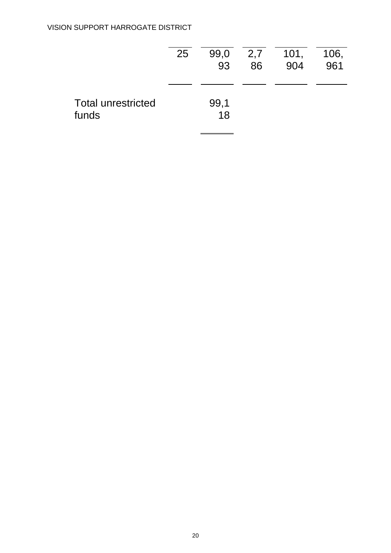|                                    | 25 | 99,0<br>93 | 2,7<br>86 | 101,<br>904 | 106,<br>961 |
|------------------------------------|----|------------|-----------|-------------|-------------|
| <b>Total unrestricted</b><br>funds |    | 99,1<br>18 |           |             |             |

 $\blacksquare$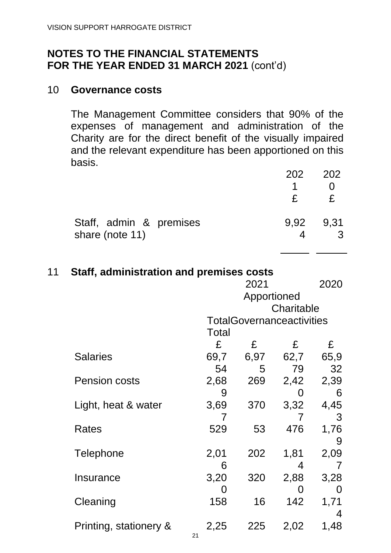#### 10 **Governance costs**

The Management Committee considers that 90% of the expenses of management and administration of the Charity are for the direct benefit of the visually impaired and the relevant expenditure has been apportioned on this basis.

|                                            | 202          | 202  |
|--------------------------------------------|--------------|------|
|                                            | 1.           |      |
|                                            | $\mathbf{f}$ |      |
| Staff, admin & premises<br>share (note 11) | 9.92         | 9.31 |

| 11 | Staff, administration and premises costs |       |                                  |            |      |
|----|------------------------------------------|-------|----------------------------------|------------|------|
|    |                                          |       | 2021                             |            | 2020 |
|    |                                          |       | Apportioned                      |            |      |
|    |                                          |       |                                  | Charitable |      |
|    |                                          |       | <b>TotalGovernanceactivities</b> |            |      |
|    |                                          | Total |                                  |            |      |
|    |                                          | £     | £                                | £          | £    |
|    | <b>Salaries</b>                          | 69,7  | 6,97                             | 62,7       | 65,9 |
|    |                                          | 54    | 5                                | 79         | 32   |
|    | <b>Pension costs</b>                     | 2,68  | 269                              | 2,42       | 2,39 |
|    |                                          | 9     |                                  | 0          | 6    |
|    | Light, heat & water                      | 3,69  | 370                              | 3,32       | 4,45 |
|    |                                          | 7     |                                  | 7          | 3    |
|    | <b>Rates</b>                             | 529   | 53                               | 476        | 1,76 |
|    |                                          |       |                                  |            | 9    |
|    | Telephone                                | 2,01  | 202                              | 1,81       | 2,09 |
|    |                                          | 6     |                                  | 4          |      |
|    | Insurance                                | 3,20  | 320                              | 2,88       | 3,28 |
|    |                                          | O     |                                  | 0          | O    |
|    | Cleaning                                 | 158   | 16                               | 142        | 1,71 |
|    |                                          |       |                                  |            | 4    |
|    | Printing, stationery &                   | 2,25  | 225                              | 2,02       | 1,48 |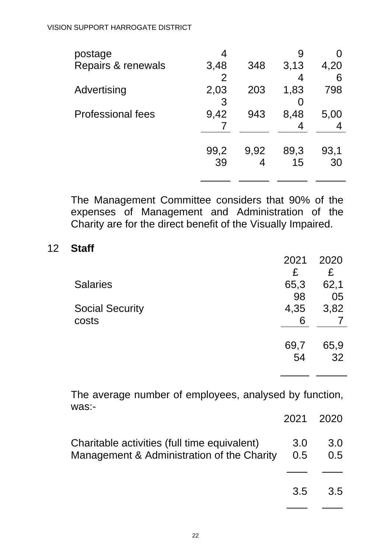| postage                  |                |      | 9    |      |
|--------------------------|----------------|------|------|------|
| Repairs & renewals       | 3,48           | 348  | 3,13 | 4,20 |
|                          | $\overline{2}$ |      | 4    | 6    |
| Advertising              | 2,03           | 203  | 1,83 | 798  |
|                          | 3              |      |      |      |
| <b>Professional fees</b> | 9,42           | 943  | 8,48 | 5,00 |
|                          |                |      |      |      |
|                          |                |      |      |      |
|                          | 99,2           | 9,92 | 89,3 | 93,1 |
|                          | 39             |      | 15   | 30   |
|                          |                |      |      |      |

The Management Committee considers that 90% of the expenses of Management and Administration of the Charity are for the direct benefit of the Visually Impaired.

#### 12 **Staff**

|                        | 2021 | 2020 |
|------------------------|------|------|
|                        | £    | £    |
| <b>Salaries</b>        | 65,3 | 62,1 |
|                        | 98   | 05   |
| <b>Social Security</b> | 4,35 | 3,82 |
| costs                  | 6    |      |
|                        |      |      |
|                        | 69,7 | 65,9 |
|                        | 54   | 32   |
|                        |      |      |

The average number of employees, analysed by function, was:-

|                                                                                                |     | 2021 2020  |
|------------------------------------------------------------------------------------------------|-----|------------|
| Charitable activities (full time equivalent)<br>Management & Administration of the Charity 0.5 | 3.0 | 3.0<br>0.5 |
|                                                                                                | 3.5 | 3.5        |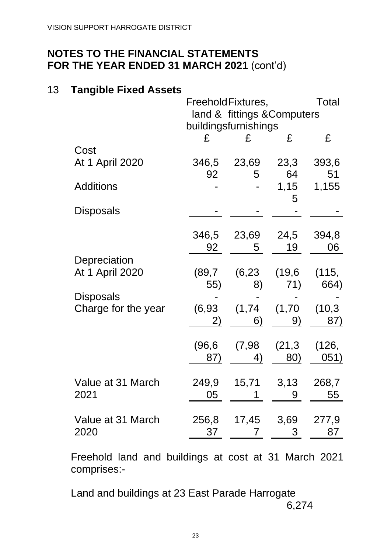#### 13 **Tangible Fixed Assets**

|                     |         | FreeholdFixtures,           |         | <b>Total</b> |  |
|---------------------|---------|-----------------------------|---------|--------------|--|
|                     |         | land & fittings & Computers |         |              |  |
|                     |         | buildingsfurnishings        |         | £            |  |
|                     | £       | £                           | £       |              |  |
| Cost                |         |                             |         |              |  |
| At 1 April 2020     | 346,5   | 23,69                       | 23,3    | 393,6        |  |
|                     | 92      | 5                           | 64      | 51           |  |
| <b>Additions</b>    |         |                             | 1,15    | 1,155        |  |
|                     |         |                             | 5       |              |  |
| <b>Disposals</b>    |         |                             |         |              |  |
|                     |         |                             |         |              |  |
|                     | 346,5   | 23,69                       | 24,5    | 394,8        |  |
|                     | 92      | 5                           | 19      | 06           |  |
| Depreciation        |         |                             |         |              |  |
| At 1 April 2020     | (89,7)  | (6, 23)                     | (19, 6) | (115,        |  |
|                     | 55)     | 8)                          | 71)     | 664)         |  |
| Disposals           |         |                             |         |              |  |
| Charge for the year | (6, 93) | (1,74)                      | (1,70)  | (10,3)       |  |
|                     | 2)      | 6)                          | 9)      | 87)          |  |
|                     |         |                             |         |              |  |
|                     | (96,6   | (7,98)                      | (21,3)  | (126,        |  |
|                     | 87)     | 4)                          | 80)     | 051)         |  |
| Value at 31 March   | 249,9   | 15,71                       | 3,13    | 268,7        |  |
| 2021                | 05      |                             | 9       | 55           |  |
|                     |         |                             |         |              |  |
| Value at 31 March   | 256,8   | 17,45                       | 3,69    | 277,9        |  |
| 2020                | 37      | 7                           | 3       | 87           |  |
|                     |         |                             |         |              |  |

Freehold land and buildings at cost at 31 March 2021 comprises:-

Land and buildings at 23 East Parade Harrogate 6,274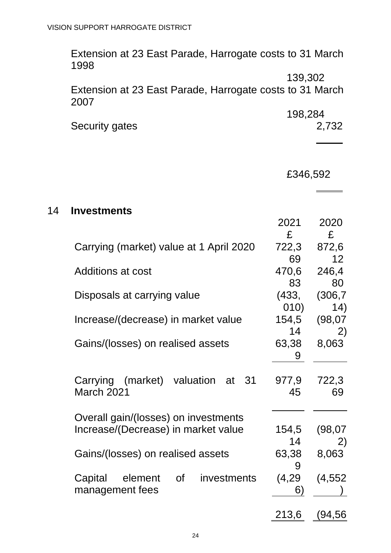Extension at 23 East Parade, Harrogate costs to 31 March 1998 139,302 Extension at 23 East Parade, Harrogate costs to 31 March 2007 198,284 Security gates 2,732 £346,592 14 **Investments** 2021 2020 £ £ Carrying (market) value at 1 April 2020 722,3 69 872,6 12 Additions at cost 470.6 83 246,4 80 Disposals at carrying value (433, 010) (306,7 14) Increase/(decrease) in market value 154,5 14 (98,07 2) Gains/(losses) on realised assets 63,38 9 8,063 Carrying (market) valuation at 31 March 2021 977,9 45 722,3 69 Overall gain/(losses) on investments Increase/(Decrease) in market value 154,5 14 (98,07 2) Gains/(losses) on realised assets 63,38 9 8,063 Capital element of investments management fees (4,29 6) (4,552 )

213,6 (94,56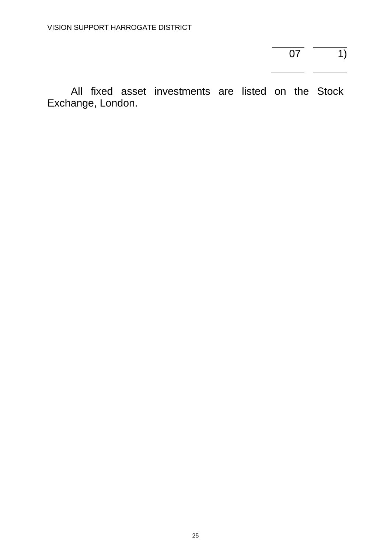$\overline{07}$   $\overline{1)}$ 

All fixed asset investments are listed on the Stock Exchange, London.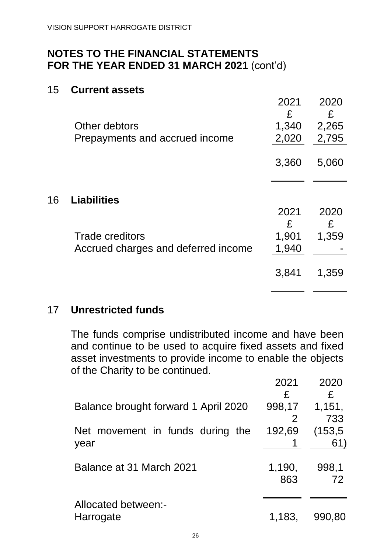#### 15 **Current assets**

16 **Liabilities**

|                                     | 2021<br>£      | 2020<br>£ |
|-------------------------------------|----------------|-----------|
| Other debtors                       | 1,340          | 2,265     |
| Prepayments and accrued income      | 2,020          | 2,795     |
|                                     | 3,360          | 5,060     |
| <b>Liabilities</b>                  |                |           |
|                                     | 2021           | 2020      |
| <b>Trade creditors</b>              | £              | £         |
| Accrued charges and deferred income | 1,901<br>1,940 | 1,359     |
|                                     | 3,841          | 1,359     |

#### 17 **Unrestricted funds**

The funds comprise undistributed income and have been and continue to be used to acquire fixed assets and fixed asset investments to provide income to enable the objects of the Charity to be continued.

|                                          | 2021          | 2020               |
|------------------------------------------|---------------|--------------------|
| Balance brought forward 1 April 2020     | £<br>998,17   | £<br>1,151,<br>733 |
| Net movement in funds during the<br>year | 192,69        | (153, 5)<br>61)    |
| Balance at 31 March 2021                 | 1,190,<br>863 | 998,1<br>72        |
| Allocated between:-<br>Harrogate         | 1,183,        | 990,80             |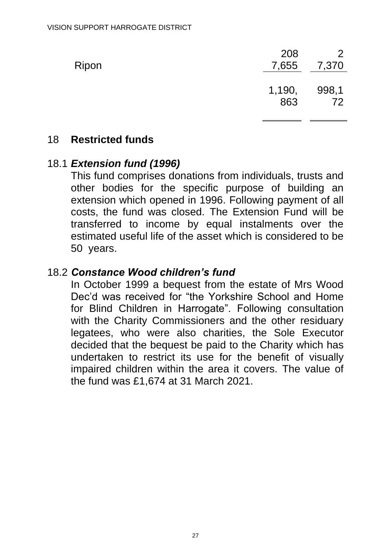| Ripon | 208<br>7,655  | $\mathcal{P}$<br>7,370 |
|-------|---------------|------------------------|
|       | 1,190,<br>863 | 998,1<br>72            |

#### 18 **Restricted funds**

#### 18.1 *Extension fund (1996)*

This fund comprises donations from individuals, trusts and other bodies for the specific purpose of building an extension which opened in 1996. Following payment of all costs, the fund was closed. The Extension Fund will be transferred to income by equal instalments over the estimated useful life of the asset which is considered to be 50 years.

#### 18.2 *Constance Wood children's fund*

In October 1999 a bequest from the estate of Mrs Wood Dec'd was received for "the Yorkshire School and Home for Blind Children in Harrogate". Following consultation with the Charity Commissioners and the other residuary legatees, who were also charities, the Sole Executor decided that the bequest be paid to the Charity which has undertaken to restrict its use for the benefit of visually impaired children within the area it covers. The value of the fund was £1,674 at 31 March 2021.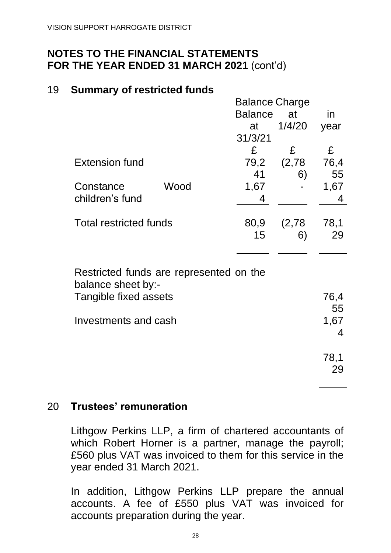#### 19 **Summary of restricted funds**

|                                         |      | <b>Balance Charge</b> |        |      |  |
|-----------------------------------------|------|-----------------------|--------|------|--|
|                                         |      | <b>Balance</b>        | at     | in   |  |
|                                         |      | at                    | 1/4/20 | year |  |
|                                         |      | 31/3/21               |        |      |  |
|                                         |      | £                     | £      | £    |  |
| <b>Extension fund</b>                   |      | 79,2                  | (2,78) | 76,4 |  |
|                                         |      | 41                    | 6)     | 55   |  |
| Constance                               | Wood | 1,67                  |        | 1,67 |  |
| children's fund                         |      | 4                     |        | 4    |  |
|                                         |      |                       |        |      |  |
| <b>Total restricted funds</b>           |      | 80,9                  | (2,78) | 78,1 |  |
|                                         |      | 15                    | 6)     | 29   |  |
|                                         |      |                       |        |      |  |
|                                         |      |                       |        |      |  |
| Restricted funds are represented on the |      |                       |        |      |  |
| balance sheet by:-                      |      |                       |        |      |  |
| Tangible fixed assets                   |      |                       |        | 76,4 |  |
|                                         |      |                       |        | 55   |  |
| Investments and cash                    |      |                       |        | 1,67 |  |
|                                         |      |                       |        | 4    |  |
|                                         |      |                       |        |      |  |
|                                         |      |                       |        | 78,1 |  |
|                                         |      |                       |        | 29   |  |
|                                         |      |                       |        |      |  |

## 20 **Trustees' remuneration**

Lithgow Perkins LLP, a firm of chartered accountants of which Robert Horner is a partner, manage the payroll; £560 plus VAT was invoiced to them for this service in the year ended 31 March 2021.

In addition, Lithgow Perkins LLP prepare the annual accounts. A fee of £550 plus VAT was invoiced for accounts preparation during the year.